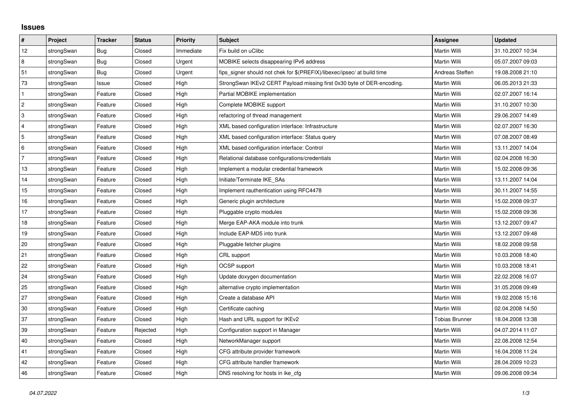## **Issues**

| $\vert$ #      | Project    | <b>Tracker</b> | <b>Status</b> | <b>Priority</b> | <b>Subject</b>                                                          | Assignee        | <b>Updated</b>   |
|----------------|------------|----------------|---------------|-----------------|-------------------------------------------------------------------------|-----------------|------------------|
| 12             | strongSwan | Bug            | Closed        | Immediate       | Fix build on uClibc                                                     | Martin Willi    | 31.10.2007 10:34 |
| 8              | strongSwan | Bug            | Closed        | Urgent          | MOBIKE selects disappearing IPv6 address                                | Martin Willi    | 05.07.2007 09:03 |
| 51             | strongSwan | Bug            | Closed        | Urgent          | fips signer should not chek for \$(PREFIX)/libexec/ipsec/ at build time | Andreas Steffen | 19.08.2008 21:10 |
| 73             | strongSwan | Issue          | Closed        | High            | StrongSwan IKEv2 CERT Payload missing first 0x30 byte of DER-encoding.  | Martin Willi    | 06.05.2013 21:33 |
| $\mathbf{1}$   | strongSwan | Feature        | Closed        | High            | Partial MOBIKE implementation                                           | Martin Willi    | 02.07.2007 16:14 |
| 2              | strongSwan | Feature        | Closed        | High            | Complete MOBIKE support                                                 | Martin Willi    | 31.10.2007 10:30 |
| 3              | strongSwan | Feature        | Closed        | High            | refactoring of thread management                                        | Martin Willi    | 29.06.2007 14:49 |
| $\overline{4}$ | strongSwan | Feature        | Closed        | High            | XML based configuration interface: Infrastructure                       | Martin Willi    | 02.07.2007 16:30 |
| 5              | strongSwan | Feature        | Closed        | High            | XML based configuration interface: Status query                         | Martin Willi    | 07.08.2007 08:49 |
| 6              | strongSwan | Feature        | Closed        | High            | XML based configuration interface: Control                              | Martin Willi    | 13.11.2007 14:04 |
| $\overline{7}$ | strongSwan | Feature        | Closed        | High            | Relational database configurations/credentials                          | Martin Willi    | 02.04.2008 16:30 |
| 13             | strongSwan | Feature        | Closed        | High            | Implement a modular credential framework                                | Martin Willi    | 15.02.2008 09:36 |
| 14             | strongSwan | Feature        | Closed        | High            | Initiate/Terminate IKE_SAs                                              | Martin Willi    | 13.11.2007 14:04 |
| 15             | strongSwan | Feature        | Closed        | High            | Implement rauthentication using RFC4478                                 | Martin Willi    | 30.11.2007 14:55 |
| $16\,$         | strongSwan | Feature        | Closed        | High            | Generic plugin architecture                                             | Martin Willi    | 15.02.2008 09:37 |
| 17             | strongSwan | Feature        | Closed        | High            | Pluggable crypto modules                                                | Martin Willi    | 15.02.2008 09:36 |
| 18             | strongSwan | Feature        | Closed        | High            | Merge EAP-AKA module into trunk                                         | Martin Willi    | 13.12.2007 09:47 |
| 19             | strongSwan | Feature        | Closed        | High            | Include EAP-MD5 into trunk                                              | Martin Willi    | 13.12.2007 09:48 |
| 20             | strongSwan | Feature        | Closed        | High            | Pluggable fetcher plugins                                               | Martin Willi    | 18.02.2008 09:58 |
| 21             | strongSwan | Feature        | Closed        | High            | CRL support                                                             | Martin Willi    | 10.03.2008 18:40 |
| 22             | strongSwan | Feature        | Closed        | High            | OCSP support                                                            | Martin Willi    | 10.03.2008 18:41 |
| 24             | strongSwan | Feature        | Closed        | High            | Update doxygen documentation                                            | Martin Willi    | 22.02.2008 16:07 |
| 25             | strongSwan | Feature        | Closed        | High            | alternative crypto implementation                                       | Martin Willi    | 31.05.2008 09:49 |
| 27             | strongSwan | Feature        | Closed        | High            | Create a database API                                                   | Martin Willi    | 19.02.2008 15:16 |
| 30             | strongSwan | Feature        | Closed        | High            | Certificate caching                                                     | Martin Willi    | 02.04.2008 14:50 |
| 37             | strongSwan | Feature        | Closed        | High            | Hash and URL support for IKEv2                                          | Tobias Brunner  | 18.04.2008 13:38 |
| 39             | strongSwan | Feature        | Rejected      | High            | Configuration support in Manager                                        | Martin Willi    | 04.07.2014 11:07 |
| 40             | strongSwan | Feature        | Closed        | High            | NetworkManager support                                                  | Martin Willi    | 22.08.2008 12:54 |
| 41             | strongSwan | Feature        | Closed        | High            | CFG attribute provider framework                                        | Martin Willi    | 16.04.2008 11:24 |
| 42             | strongSwan | Feature        | Closed        | High            | CFG attribute handler framework                                         | Martin Willi    | 28.04.2009 10:23 |
| 46             | strongSwan | Feature        | Closed        | High            | DNS resolving for hosts in ike_cfg                                      | Martin Willi    | 09.06.2008 09:34 |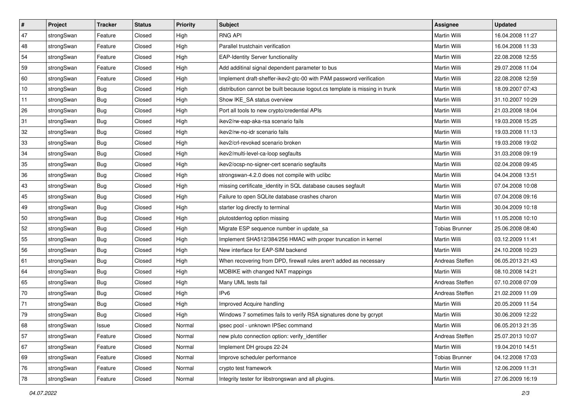| $\vert$ # | Project    | <b>Tracker</b> | <b>Status</b> | <b>Priority</b> | <b>Subject</b>                                                              | <b>Assignee</b>       | <b>Updated</b>   |
|-----------|------------|----------------|---------------|-----------------|-----------------------------------------------------------------------------|-----------------------|------------------|
| 47        | strongSwan | Feature        | Closed        | High            | <b>RNG API</b>                                                              | Martin Willi          | 16.04.2008 11:27 |
| 48        | strongSwan | Feature        | Closed        | High            | Parallel trustchain verification                                            | <b>Martin Willi</b>   | 16.04.2008 11:33 |
| 54        | strongSwan | Feature        | Closed        | High            | <b>EAP-Identity Server functionality</b>                                    | Martin Willi          | 22.08.2008 12:55 |
| 59        | strongSwan | Feature        | Closed        | High            | Add additinal signal dependent parameter to bus                             | Martin Willi          | 29.07.2008 11:04 |
| 60        | strongSwan | Feature        | Closed        | High            | Implement draft-sheffer-ikev2-gtc-00 with PAM password verification         | Martin Willi          | 22.08.2008 12:59 |
| 10        | strongSwan | <b>Bug</b>     | Closed        | High            | distribution cannot be built because logout.cs template is missing in trunk | Martin Willi          | 18.09.2007 07:43 |
| 11        | strongSwan | Bug            | Closed        | High            | Show IKE_SA status overview                                                 | Martin Willi          | 31.10.2007 10:29 |
| 26        | strongSwan | Bug            | Closed        | High            | Port all tools to new crypto/credential APIs                                | Martin Willi          | 21.03.2008 18:04 |
| 31        | strongSwan | <b>Bug</b>     | Closed        | High            | ikev2/rw-eap-aka-rsa scenario fails                                         | Martin Willi          | 19.03.2008 15:25 |
| 32        | strongSwan | Bug            | Closed        | High            | ikev2/rw-no-idr scenario fails                                              | Martin Willi          | 19.03.2008 11:13 |
| 33        | strongSwan | Bug            | Closed        | High            | ikev2/crl-revoked scenario broken                                           | Martin Willi          | 19.03.2008 19:02 |
| 34        | strongSwan | <b>Bug</b>     | Closed        | High            | ikev2/multi-level-ca-loop segfaults                                         | Martin Willi          | 31.03.2008 09:19 |
| 35        | strongSwan | Bug            | Closed        | High            | ikev2/ocsp-no-signer-cert scenario segfaults                                | <b>Martin Willi</b>   | 02.04.2008 09:45 |
| 36        | strongSwan | <b>Bug</b>     | Closed        | High            | strongswan-4.2.0 does not compile with uclibe                               | Martin Willi          | 04.04.2008 13:51 |
| 43        | strongSwan | Bug            | Closed        | High            | missing certificate_identity in SQL database causes segfault                | <b>Martin Willi</b>   | 07.04.2008 10:08 |
| 45        | strongSwan | <b>Bug</b>     | Closed        | High            | Failure to open SQLite database crashes charon                              | Martin Willi          | 07.04.2008 09:16 |
| 49        | strongSwan | <b>Bug</b>     | Closed        | High            | starter log directly to terminal                                            | <b>Martin Willi</b>   | 30.04.2009 10:18 |
| 50        | strongSwan | Bug            | Closed        | High            | plutostderrlog option missing                                               | <b>Martin Willi</b>   | 11.05.2008 10:10 |
| 52        | strongSwan | <b>Bug</b>     | Closed        | High            | Migrate ESP sequence number in update_sa                                    | <b>Tobias Brunner</b> | 25.06.2008 08:40 |
| 55        | strongSwan | Bug            | Closed        | High            | Implement SHA512/384/256 HMAC with proper truncation in kernel              | Martin Willi          | 03.12.2009 11:41 |
| 56        | strongSwan | <b>Bug</b>     | Closed        | High            | New interface for EAP-SIM backend                                           | Martin Willi          | 24.10.2008 10:23 |
| 61        | strongSwan | <b>Bug</b>     | Closed        | High            | When recovering from DPD, firewall rules aren't added as necessary          | Andreas Steffen       | 06.05.2013 21:43 |
| 64        | strongSwan | Bug            | Closed        | High            | MOBIKE with changed NAT mappings                                            | Martin Willi          | 08.10.2008 14:21 |
| 65        | strongSwan | <b>Bug</b>     | Closed        | High            | Many UML tests fail                                                         | Andreas Steffen       | 07.10.2008 07:09 |
| 70        | strongSwan | <b>Bug</b>     | Closed        | High            | IP <sub>v6</sub>                                                            | Andreas Steffen       | 21.02.2009 11:09 |
| 71        | strongSwan | <b>Bug</b>     | Closed        | High            | Improved Acquire handling                                                   | Martin Willi          | 20.05.2009 11:54 |
| 79        | strongSwan | Bug            | Closed        | High            | Windows 7 sometimes fails to verify RSA signatures done by gcrypt           | Martin Willi          | 30.06.2009 12:22 |
| 68        | strongSwan | Issue          | Closed        | Normal          | ipsec pool - unknown IPSec command                                          | Martin Willi          | 06.05.2013 21:35 |
| 57        | strongSwan | Feature        | Closed        | Normal          | new pluto connection option: verify identifier                              | Andreas Steffen       | 25.07.2013 10:07 |
| 67        | strongSwan | Feature        | Closed        | Normal          | Implement DH groups 22-24                                                   | Martin Willi          | 19.04.2010 14:51 |
| 69        | strongSwan | Feature        | Closed        | Normal          | Improve scheduler performance                                               | <b>Tobias Brunner</b> | 04.12.2008 17:03 |
| 76        | strongSwan | Feature        | Closed        | Normal          | crypto test framework                                                       | Martin Willi          | 12.06.2009 11:31 |
| 78        | strongSwan | Feature        | Closed        | Normal          | Integrity tester for libstrongswan and all plugins.                         | Martin Willi          | 27.06.2009 16:19 |